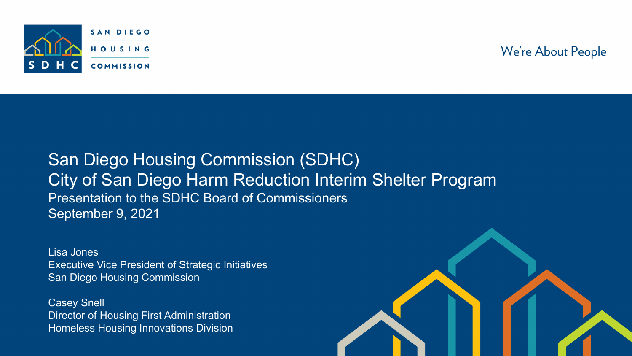

We're About People

#### San Diego Housing Commission (SDHC) City of San Diego Harm Reduction Interim Shelter Program Presentation to the SDHC Board of Commissioners September 9, 2021

Lisa Jones Executive Vice President of Strategic Initiatives San Diego Housing Commission

Casey Snell Director of Housing First Administration Homeless Housing Innovations Division

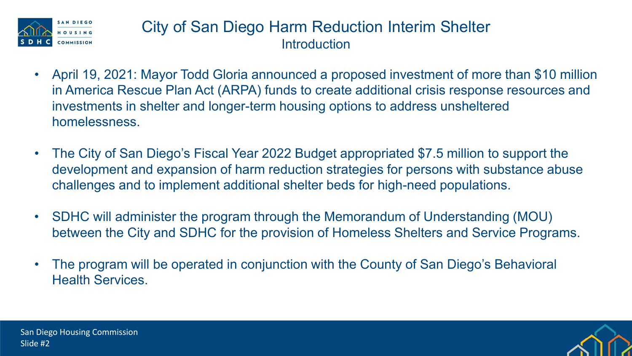

## City of San Diego Harm Reduction Interim Shelter **Introduction**

- April 19, 2021: Mayor Todd Gloria announced a proposed investment of more than \$10 million in America Rescue Plan Act (ARPA) funds to create additional crisis response resources and investments in shelter and longer-term housing options to address unsheltered homelessness.
- The City of San Diego's Fiscal Year 2022 Budget appropriated \$7.5 million to support the development and expansion of harm reduction strategies for persons with substance abuse challenges and to implement additional shelter beds for high-need populations.
- SDHC will administer the program through the Memorandum of Understanding (MOU) between the City and SDHC for the provision of Homeless Shelters and Service Programs.
- The program will be operated in conjunction with the County of San Diego's Behavioral Health Services.

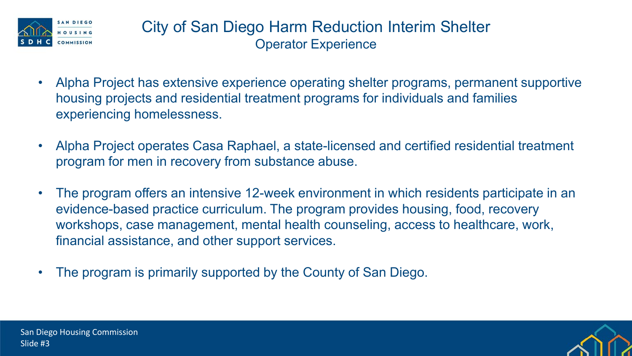

- Alpha Project has extensive experience operating shelter programs, permanent supportive housing projects and residential treatment programs for individuals and families experiencing homelessness.
- Alpha Project operates Casa Raphael, a state-licensed and certified residential treatment program for men in recovery from substance abuse.
- The program offers an intensive 12-week environment in which residents participate in an evidence-based practice curriculum. The program provides housing, food, recovery workshops, case management, mental health counseling, access to healthcare, work, financial assistance, and other support services.
- The program is primarily supported by the County of San Diego.

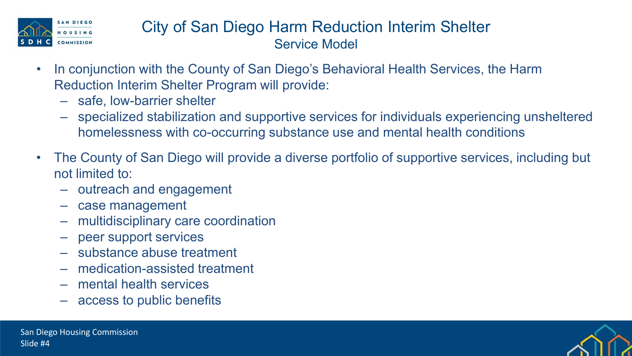

## City of San Diego Harm Reduction Interim Shelter Service Model

- In conjunction with the County of San Diego's Behavioral Health Services, the Harm Reduction Interim Shelter Program will provide:
	- ‒ safe, low-barrier shelter
	- ‒ specialized stabilization and supportive services for individuals experiencing unsheltered homelessness with co-occurring substance use and mental health conditions
- The County of San Diego will provide a diverse portfolio of supportive services, including but not limited to:
	- ‒ outreach and engagement
	- case management
	- ‒ multidisciplinary care coordination
	- peer support services
	- ‒ substance abuse treatment
	- ‒ medication-assisted treatment
	- ‒ mental health services
	- ‒ access to public benefits

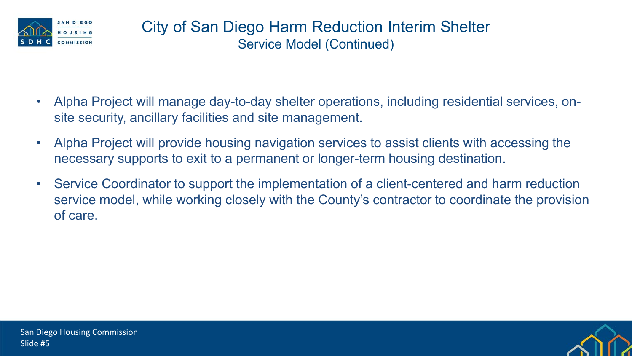

- Alpha Project will manage day-to-day shelter operations, including residential services, onsite security, ancillary facilities and site management.
- Alpha Project will provide housing navigation services to assist clients with accessing the necessary supports to exit to a permanent or longer-term housing destination.
- Service Coordinator to support the implementation of a client-centered and harm reduction service model, while working closely with the County's contractor to coordinate the provision of care.

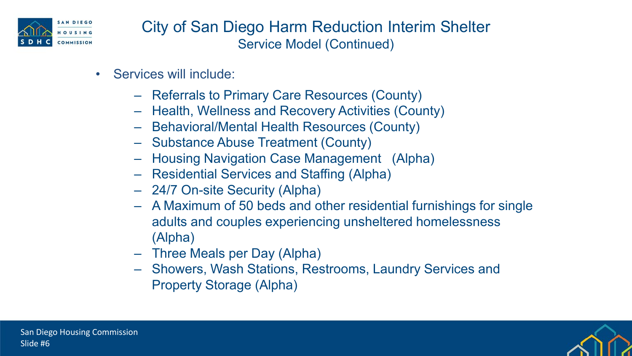

City of San Diego Harm Reduction Interim Shelter Service Model (Continued)

- Services will include:
	- ‒ Referrals to Primary Care Resources (County)
	- ‒ Health, Wellness and Recovery Activities (County)
	- ‒ Behavioral/Mental Health Resources (County)
	- ‒ Substance Abuse Treatment (County)
	- ‒ Housing Navigation Case Management (Alpha)
	- ‒ Residential Services and Staffing (Alpha)
	- ‒ 24/7 On-site Security (Alpha)
	- ‒ A Maximum of 50 beds and other residential furnishings for single adults and couples experiencing unsheltered homelessness (Alpha)
	- ‒ Three Meals per Day (Alpha)
	- ‒ Showers, Wash Stations, Restrooms, Laundry Services and Property Storage (Alpha)

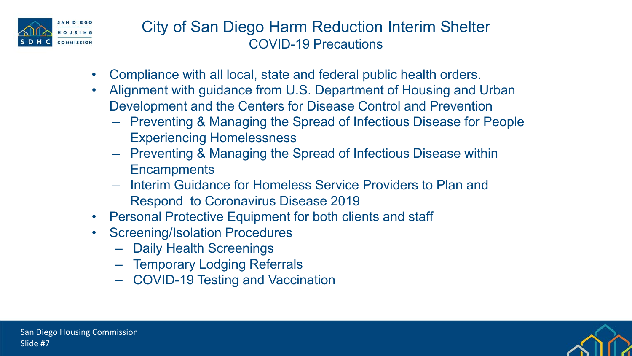

City of San Diego Harm Reduction Interim Shelter COVID-19 Precautions

- Compliance with all local, state and federal public health orders.
- Alignment with guidance from U.S. Department of Housing and Urban Development and the Centers for Disease Control and Prevention
	- ‒ Preventing & Managing the Spread of Infectious Disease for People Experiencing Homelessness
	- ‒ Preventing & Managing the Spread of Infectious Disease within **Encampments**
	- ‒ Interim Guidance for Homeless Service Providers to Plan and Respond to Coronavirus Disease 2019
- Personal Protective Equipment for both clients and staff
- **Screening/Isolation Procedures** 
	- Daily Health Screenings
	- ‒ Temporary Lodging Referrals
	- ‒ COVID-19 Testing and Vaccination

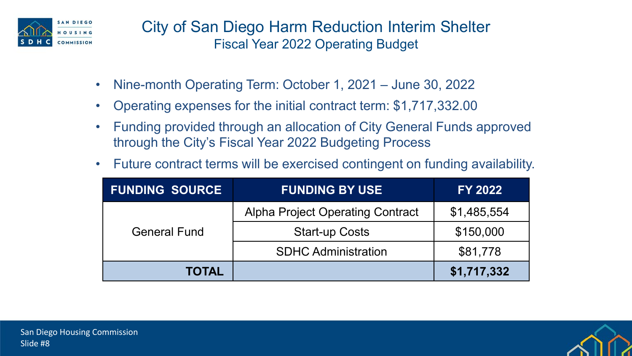

City of San Diego Harm Reduction Interim Shelter Fiscal Year 2022 Operating Budget

- Nine-month Operating Term: October 1, 2021 June 30, 2022
- Operating expenses for the initial contract term: \$1,717,332.00
- Funding provided through an allocation of City General Funds approved through the City's Fiscal Year 2022 Budgeting Process
- Future contract terms will be exercised contingent on funding availability.

| <b>FUNDING SOURCE</b> | <b>FUNDING BY USE</b>                   | <b>FY 2022</b> |
|-----------------------|-----------------------------------------|----------------|
| <b>General Fund</b>   | <b>Alpha Project Operating Contract</b> | \$1,485,554    |
|                       | <b>Start-up Costs</b>                   | \$150,000      |
|                       | <b>SDHC Administration</b>              | \$81,778       |
| <b>TOTAL</b>          |                                         | \$1,717,332    |

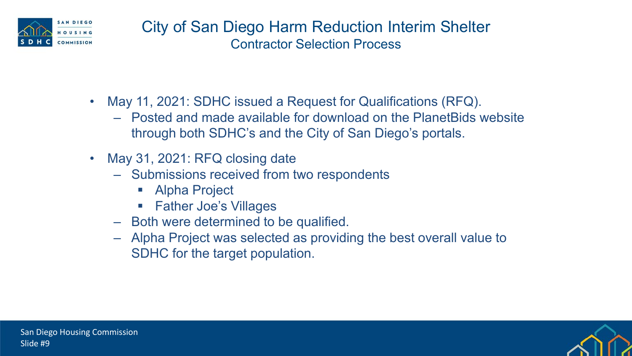

- May 11, 2021: SDHC issued a Request for Qualifications (RFQ).
	- ‒ Posted and made available for download on the PlanetBids website through both SDHC's and the City of San Diego's portals.
- May 31, 2021: RFQ closing date
	- ‒ Submissions received from two respondents
		- **Alpha Project**
		- Father Joe's Villages
	- ‒ Both were determined to be qualified.
	- ‒ Alpha Project was selected as providing the best overall value to SDHC for the target population.

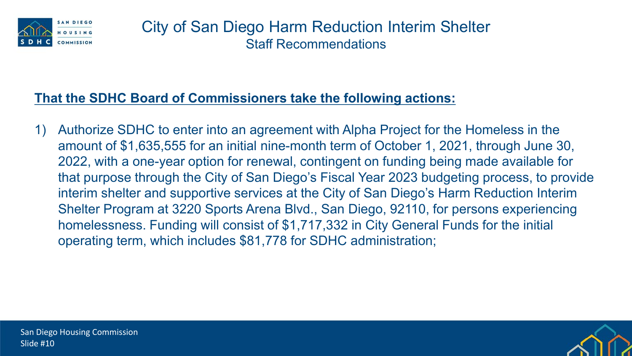

#### **That the SDHC Board of Commissioners take the following actions:**

1) Authorize SDHC to enter into an agreement with Alpha Project for the Homeless in the amount of \$1,635,555 for an initial nine-month term of October 1, 2021, through June 30, 2022, with a one-year option for renewal, contingent on funding being made available for that purpose through the City of San Diego's Fiscal Year 2023 budgeting process, to provide interim shelter and supportive services at the City of San Diego's Harm Reduction Interim Shelter Program at 3220 Sports Arena Blvd., San Diego, 92110, for persons experiencing homelessness. Funding will consist of \$1,717,332 in City General Funds for the initial operating term, which includes \$81,778 for SDHC administration;

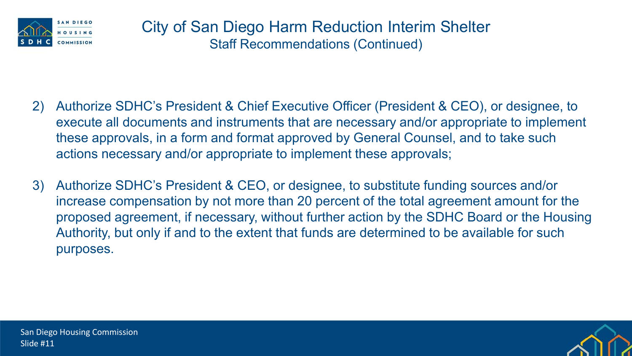

- 2) Authorize SDHC's President & Chief Executive Officer (President & CEO), or designee, to execute all documents and instruments that are necessary and/or appropriate to implement these approvals, in a form and format approved by General Counsel, and to take such actions necessary and/or appropriate to implement these approvals;
- 3) Authorize SDHC's President & CEO, or designee, to substitute funding sources and/or increase compensation by not more than 20 percent of the total agreement amount for the proposed agreement, if necessary, without further action by the SDHC Board or the Housing Authority, but only if and to the extent that funds are determined to be available for such purposes.